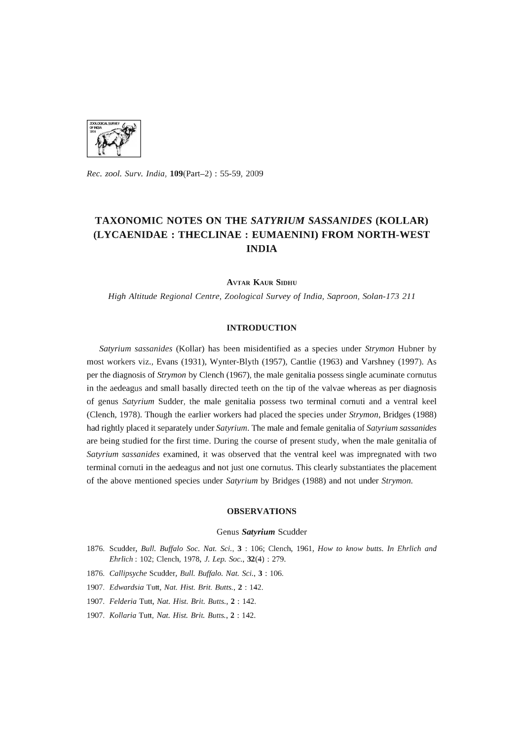

*Rec. zool. Surv. India,* l09(Part-2) : 55-59, 2009

# **TAXONOMIC NOTES ON THE** *SATYRIUM SASSANIDES* **(KOLLAR) (LYCAENIDAE : THECLINAE : EUMAENINI) FROM NORTH-WEST INDIA**

**AVTAR KAUR SIDHU** 

*High Altitude Regional Centre, Zoological Survey* of *India, Saproon, Solan-173 211* 

## **INTRODUCTION**

*Satyrium sassanides* (Kollar) has been misidentified as a species under *Strymon* Hubner by most workers viz., Evans (1931), Wynter-Blyth (1957), Cantlie (1963) and Varshney (1997). As per the diagnosis of *Strymon* by Clench (1967), the male genitalia possess single acuminate cornutus in the aedeagus and small basally directed teeth on the tip of the valvae whereas as per diagnosis of genus *Satyrium* Sudder, the male genitalia possess two terminal cornuti and a ventral keel (Clench, 1978). Though the earlier workers had placed the species under *Strymon,* Bridges (1988) had rightly placed it separately under *Satyrium.* The male and female genitalia of *Satyrium sassanides*  are being studied for the first time. During the course of present study, when the male genitalia of *Satyrium sassanides* examined, it was observed that the ventral keel was impregnated with two terminal cornuti in the aedeagus and not just one cornutus. This clearly substantiates the placement of the above mentioned species under *Satyrium* by Bridges (1988) and not under *Strymon.* 

## **OBSERVATIONS**

#### Genus *Satyrium* Scudder

- 1876. Scudder, *Bull. Buffalo Soc. Nat.* Sci., 3 : 106; Clench, 1961, *Row to know butts. In Ehrlich and Ehrlich:* 102; Clench, 1978, 1. *Lep. Soc.,* 32(4) : 279.
- *1876. Callipsyche* Scudder, *Bull. Buffalo. Nat.* Sci., 3 : 106.
- *1907. Edwardsia* Tutt, *Nat. Rist. Brit. Butts.,* 2 : 142.
- *1907. Felderia* Tutt, *Nat. Rist. Brit. Butts.,* 2 : 142.
- *1907. Kollaria* Tutt, *Nat. Rist. Brit. Butts.,* 2 : 142.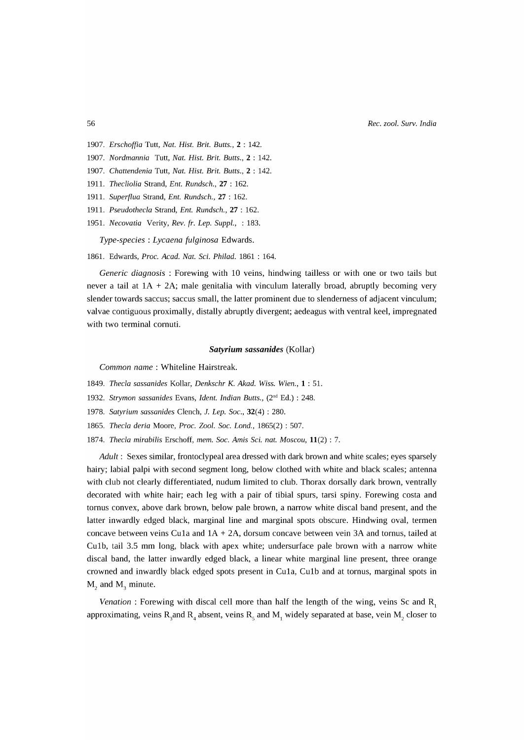*Rec. zoo1. Surv. India* 

- *1907. Erschoffia* Tutt, *Nat. Rist. Brit. Butts.,* 2 : 142.
- *1907. Nordmannia* Tutt, *Nat. Rist. Brit. Butts.,* 2 : 142.
- *1907. Chattendenia* Tutt, *Nat. Rist. Brit. Butts.,* 2 : 142.
- 1911. *Thecliolia* Strand, *Ent. Rundsch.,* 27 : 162.
- 1911. *Super{lua* Strand, *Ent. Rundsch.,* 27 : 162.
- 1911. *Pseudothecla* Strand, *Ent. Rundsch.,* 27 : 162.
- 1951. *Necovatia Verity, Rev. fr. Lep. Suppl.,* : 183.

*Type-species: Lycaena fulginosa* Edwards.

1861. Edwards, *Proc. Acad. Nat.* Sci. *Philad.* 1861 : 164.

*Generic diagnosis* : Forewing with 10 veins, hindwing tailless or with one or two tails but never a tail at  $1A + 2A$ ; male genitalia with vinculum laterally broad, abruptly becoming very slender towards saccus; saccus small, the latter prominent due to slenderness of adjacent vinculum; valvae contiguous proximally, distally abruptly divergent; aedeagus with ventral keel, impregnated with two terminal cornuti.

#### *Satyrium sassanides* (Kollar)

*Common name* : Whiteline Hairstreak.

- *1849. Thecla sassanides* Kollar, *Denkschr K. Akad. Wiss. Wien.,* 1 : 51.
- *1932. Strymon sassanides* Evans, *Ident. Indian Butts.,* (2nd Ed.) : 248.
- *1978. Satyrium sassanides* Clench, 1. *Lep. Soc.,* 32(4) : 280.
- *1865. Thecla deria* Moore, *Proc. Zoo1. Soc. Lond.,* 1865(2) : 507.
- *1874. Thecla mirabilis* Erschoff, *memo Soc. Amis* Sci. *nat. Moscou,* 11(2) : 7.

*Adult:* Sexes similar, frontoclypeal area dressed with dark brown and white scales; eyes sparsely hairy; labial palpi with second segment long, below clothed with white and black scales; antenna with club not clearly differentiated, nudum limited to club. Thorax dorsally dark brown, ventrally decorated with white hair; each leg with a pair of tibial spurs, tarsi spiny. Forewing costa and tornus convex, above dark brown, below pale brown, a narrow white discal band present, and the latter inwardly edged black, marginal line and marginal spots obscure. Hindwing oval, termen concave between veins Cu1a and  $1A + 2A$ , dorsum concave between vein  $3A$  and tornus, tailed at Culb, tail 3.5 mm long, black with apex white; undersurface pale brown with a narrow white discal band, the latter inwardly edged black, a linear white marginal line present, three orange crowned and inwardly black edged spots present in Cula, Culb and at tornus, marginal spots in  $M<sub>2</sub>$  and  $M<sub>2</sub>$  minute.

*Venation* : Forewing with discal cell more than half the length of the wing, veins Sc and R<sub>1</sub> approximating, veins  $\rm R_{_3}$ and  $\rm R_{_4}$  absent, veins  $\rm R_{_5}$  and  $\rm M_{_1}$  widely separated at base, vein  $\rm M_{_2}$  closer to

#### 56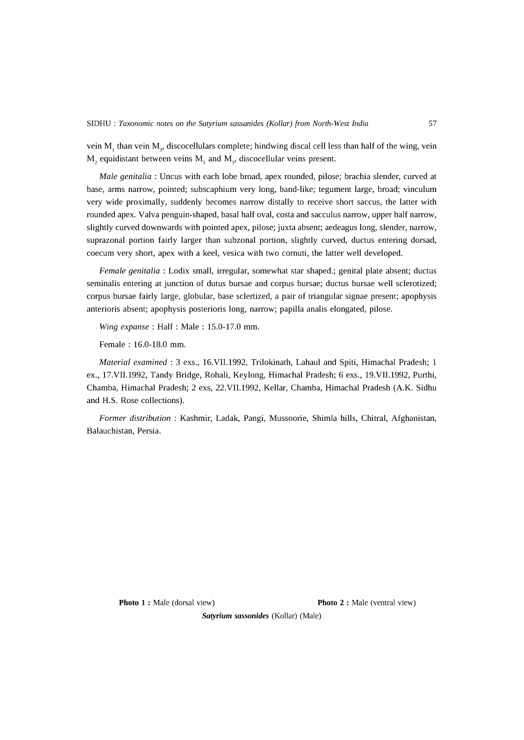vein M<sub>1</sub> than vein M<sub>3</sub>, discocellulars complete; hindwing discal cell less than half of the wing, vein  $\rm M_{_2}$  equidistant between veins  $\rm M_{_1}$  and  $\rm M_{_3}$ , discocellular veins present.

*Male genitalia:* Uncus with each lobe broad, apex rounded, pilose; brachia slender, curved at base, arms narrow, pointed; subscaphium very long, band-like; tegument large, broad; vinculum very wide proximally, suddenly becomes narrow distally to receive short saccus, the latter with rounded apex. Valva penguin-shaped, basal half oval, costa and sacculus narrow, upper half narrow, slightly curved downwards with pointed apex, pilose; juxta absent; aedeagus long, slender, narrow, suprazonal portion fairly larger than subzonal portion, slightly curved, ductus entering dorsad, coecum very short, apex with a keel, vesica with two cornuti, the latter well developed.

*Female genitalia:* Lodix small, irregular, somewhat star shaped.; genital plate absent; ductus seminalis entering at junction of dutus bursae and corpus bursae; ductus bursae well sclerotized; corpus bursae fairly large, globular, base sclertized, a pair of triangular signae present; apophysis anterioris absent; apophysis posterioris long, narrow; papilla analis elongated, pilose.

*Wing expanse:* Half: Male: 15.0-17.0 mm.

Female: 16.0-18.0 mm.

*Material examined:* 3 exs., 16.VII.1992, Trilokinath, Lahaul and Spiti, Himachal Pradesh; 1 ex., 17.VII.1992, Tandy Bridge, Rohali, Keylong, Himachal Pradesh; 6 exs., 19.VII.1992, Purthi, Chamba, Himachal Pradesh; 2 exs, 22.VII.1992, Kellar, Chamba, Himachal Pradesh (A.K. Sidhu and H.S. Rose collections).

*Former distribution:* Kashmir, Ladak, Pangi, Mussoorie, Shimla hills, Chitral, Afghanistan, Balauchistan, Persia.

**Photo 1 :** Male (dorsal view) **Photo 2 :** Male (ventral view)

*Satyrium sasson ides* (Kollar) (Male)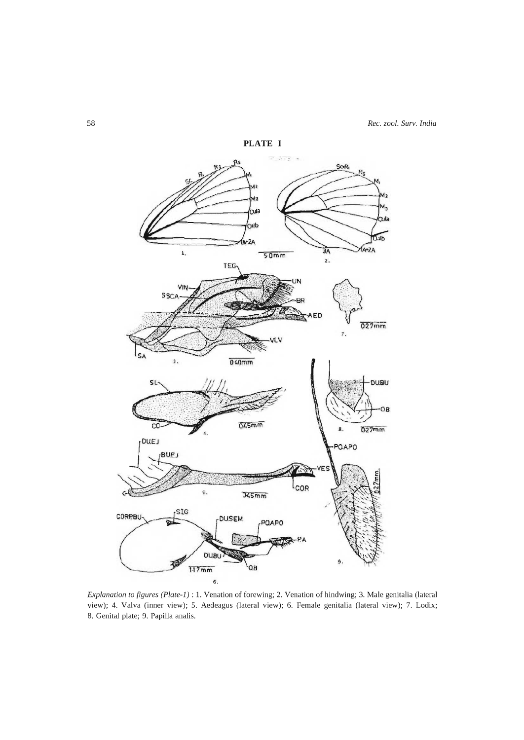

*Explanation to figures (Plate-1)* : 1. Venation of forewing; 2. Venation of hindwing; 3. Male genitalia (lateral view); 4. Valva (inner view); 5. Aedeagus (lateral view); 6. Female genitalia (lateral view); 7. Lodix; 8. Genital plate; 9. Papilla analis.